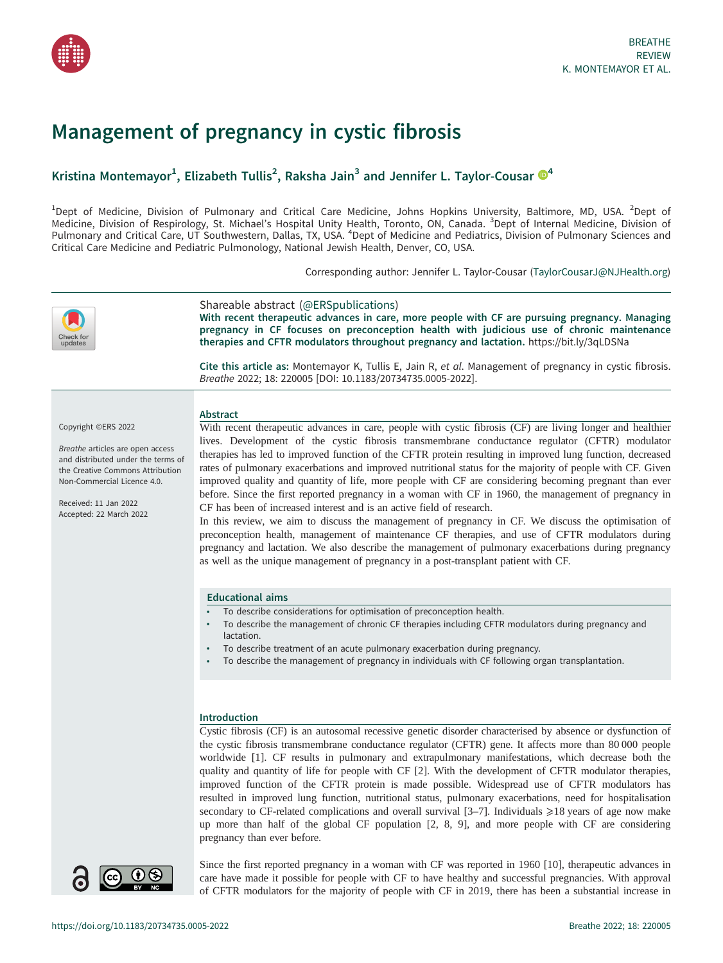

# Management of pregnancy in cystic fibrosis

# Kristina Montemayor<sup>1</sup>, Elizabeth Tullis<sup>2</sup>, Raksha Jain<sup>3</sup> and Jennifer L. Taylor-Cousar  $\mathbb{D}^4$  $\mathbb{D}^4$

 $^1$ Dept of Medicine, Division of Pulmonary and Critical Care Medicine, Johns Hopkins University, Baltimore, MD, USA.  $^2$ Dept of Medicine, Division of Respirology, St. Michael's Hospital Unity Health, Toronto, ON, Canada. <sup>3</sup>Dept of Internal Medicine, Division of Pulmonary and Critical Care, UT Southwestern, Dallas, TX, USA. <sup>4</sup>Dept of Medicine and Pediatrics, Division of Pulmonary Sciences and Critical Care Medicine and Pediatric Pulmonology, National Jewish Health, Denver, CO, USA.

Corresponding author: Jennifer L. Taylor-Cousar [\(TaylorCousarJ@NJHealth.org](mailto:TaylorCousarJ@NJHealth.org))



## Shareable abstract (@ERSpublications)

With recent therapeutic advances in care, more people with CF are pursuing pregnancy. Managing pregnancy in CF focuses on preconception health with judicious use of chronic maintenance therapies and CFTR modulators throughout pregnancy and lactation. <https://bit.ly/3qLDSNa>

Cite this article as: Montemayor K, Tullis E, Jain R, et al. Management of pregnancy in cystic fibrosis. Breathe 2022; 18: 220005 [\[DOI: 10.1183/20734735.0005-2022\].](https://doi.org/10.1183/20734735.0005-2022)

Copyright ©ERS 2022

Breathe articles are open access and distributed under the terms of the Creative Commons Attribution Non-Commercial Licence 4.0.

Received: 11 Jan 2022 Accepted: 22 March 2022 Abstract With recent therapeutic advances in care, people with cystic fibrosis (CF) are living longer and healthier lives. Development of the cystic fibrosis transmembrane conductance regulator (CFTR) modulator therapies has led to improved function of the CFTR protein resulting in improved lung function, decreased

rates of pulmonary exacerbations and improved nutritional status for the majority of people with CF. Given improved quality and quantity of life, more people with CF are considering becoming pregnant than ever before. Since the first reported pregnancy in a woman with CF in 1960, the management of pregnancy in CF has been of increased interest and is an active field of research.

In this review, we aim to discuss the management of pregnancy in CF. We discuss the optimisation of preconception health, management of maintenance CF therapies, and use of CFTR modulators during pregnancy and lactation. We also describe the management of pulmonary exacerbations during pregnancy as well as the unique management of pregnancy in a post-transplant patient with CF.

# Educational aims

- To describe considerations for optimisation of preconception health.
- To describe the management of chronic CF therapies including CFTR modulators during pregnancy and lactation.
- To describe treatment of an acute pulmonary exacerbation during pregnancy.
- To describe the management of pregnancy in individuals with CF following organ transplantation.

# Introduction

Cystic fibrosis (CF) is an autosomal recessive genetic disorder characterised by absence or dysfunction of the cystic fibrosis transmembrane conductance regulator (CFTR) gene. It affects more than 80 000 people worldwide [\[1\]](#page-8-0). CF results in pulmonary and extrapulmonary manifestations, which decrease both the quality and quantity of life for people with CF [\[2\]](#page-8-0). With the development of CFTR modulator therapies, improved function of the CFTR protein is made possible. Widespread use of CFTR modulators has resulted in improved lung function, nutritional status, pulmonary exacerbations, need for hospitalisation secondary to CF-related complications and overall survival  $[3-7]$  $[3-7]$  $[3-7]$ . Individuals  $\geq 18$  years of age now make up more than half of the global CF population [[2](#page-8-0), [8, 9\]](#page-9-0), and more people with CF are considering pregnancy than ever before.



Since the first reported pregnancy in a woman with CF was reported in 1960 [\[10](#page-9-0)], therapeutic advances in care have made it possible for people with CF to have healthy and successful pregnancies. With approval of CFTR modulators for the majority of people with CF in 2019, there has been a substantial increase in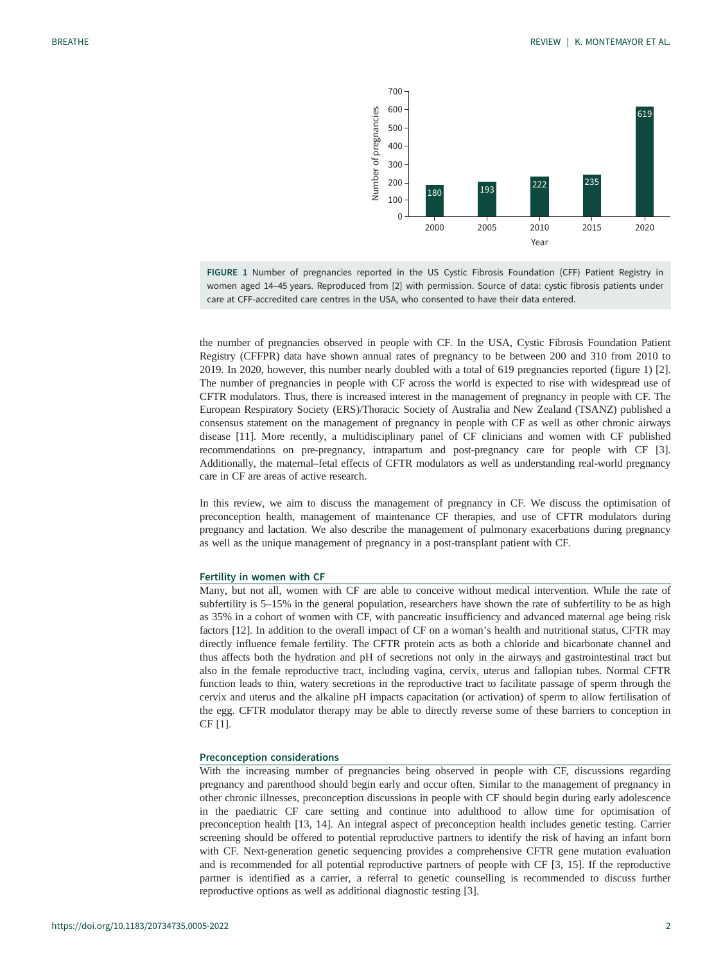

FIGURE 1 Number of pregnancies reported in the US Cystic Fibrosis Foundation (CFF) Patient Registry in women aged 14–45 years. Reproduced from [\[2](#page-8-0)] with permission. Source of data: cystic fibrosis patients under care at CFF-accredited care centres in the USA, who consented to have their data entered.

the number of pregnancies observed in people with CF. In the USA, Cystic Fibrosis Foundation Patient Registry (CFFPR) data have shown annual rates of pregnancy to be between 200 and 310 from 2010 to 2019. In 2020, however, this number nearly doubled with a total of 619 pregnancies reported (figure 1) [\[2\]](#page-8-0). The number of pregnancies in people with CF across the world is expected to rise with widespread use of CFTR modulators. Thus, there is increased interest in the management of pregnancy in people with CF. The European Respiratory Society (ERS)/Thoracic Society of Australia and New Zealand (TSANZ) published a consensus statement on the management of pregnancy in people with CF as well as other chronic airways disease [\[11](#page-9-0)]. More recently, a multidisciplinary panel of CF clinicians and women with CF published recommendations on pre-pregnancy, intrapartum and post-pregnancy care for people with CF [\[3\]](#page-8-0). Additionally, the maternal–fetal effects of CFTR modulators as well as understanding real-world pregnancy care in CF are areas of active research.

In this review, we aim to discuss the management of pregnancy in CF. We discuss the optimisation of preconception health, management of maintenance CF therapies, and use of CFTR modulators during pregnancy and lactation. We also describe the management of pulmonary exacerbations during pregnancy as well as the unique management of pregnancy in a post-transplant patient with CF.

#### Fertility in women with CF

Many, but not all, women with CF are able to conceive without medical intervention. While the rate of subfertility is 5–15% in the general population, researchers have shown the rate of subfertility to be as high as 35% in a cohort of women with CF, with pancreatic insufficiency and advanced maternal age being risk factors [\[12](#page-9-0)]. In addition to the overall impact of CF on a woman's health and nutritional status, CFTR may directly influence female fertility. The CFTR protein acts as both a chloride and bicarbonate channel and thus affects both the hydration and pH of secretions not only in the airways and gastrointestinal tract but also in the female reproductive tract, including vagina, cervix, uterus and fallopian tubes. Normal CFTR function leads to thin, watery secretions in the reproductive tract to facilitate passage of sperm through the cervix and uterus and the alkaline pH impacts capacitation (or activation) of sperm to allow fertilisation of the egg. CFTR modulator therapy may be able to directly reverse some of these barriers to conception in CF [\[1\]](#page-8-0).

#### Preconception considerations

With the increasing number of pregnancies being observed in people with CF, discussions regarding pregnancy and parenthood should begin early and occur often. Similar to the management of pregnancy in other chronic illnesses, preconception discussions in people with CF should begin during early adolescence in the paediatric CF care setting and continue into adulthood to allow time for optimisation of preconception health [[13, 14](#page-9-0)]. An integral aspect of preconception health includes genetic testing. Carrier screening should be offered to potential reproductive partners to identify the risk of having an infant born with CF. Next-generation genetic sequencing provides a comprehensive CFTR gene mutation evaluation and is recommended for all potential reproductive partners of people with CF [\[3,](#page-8-0) [15\]](#page-9-0). If the reproductive partner is identified as a carrier, a referral to genetic counselling is recommended to discuss further reproductive options as well as additional diagnostic testing [\[3\]](#page-8-0).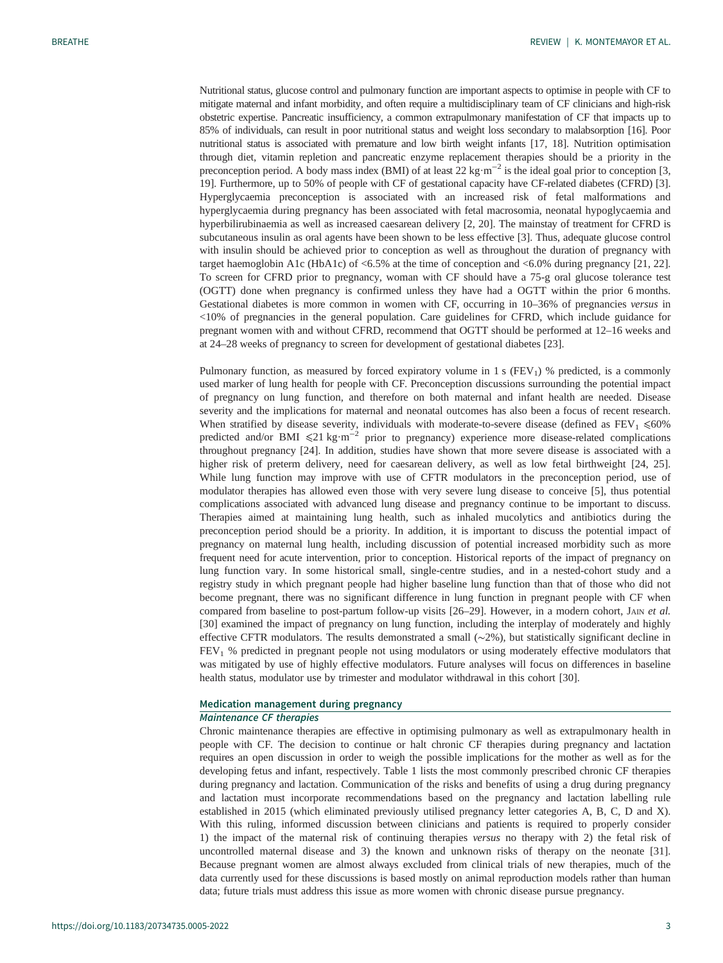Nutritional status, glucose control and pulmonary function are important aspects to optimise in people with CF to mitigate maternal and infant morbidity, and often require a multidisciplinary team of CF clinicians and high-risk obstetric expertise. Pancreatic insufficiency, a common extrapulmonary manifestation of CF that impacts up to 85% of individuals, can result in poor nutritional status and weight loss secondary to malabsorption [\[16\]](#page-9-0). Poor nutritional status is associated with premature and low birth weight infants [\[17, 18\]](#page-9-0). Nutrition optimisation through diet, vitamin repletion and pancreatic enzyme replacement therapies should be a priority in the preconception period. A body mass index (BMI) of at least 22 kg·m<sup>-2</sup> is the ideal goal prior to conception [\[3,](#page-8-0) [19](#page-9-0)]. Furthermore, up to 50% of people with CF of gestational capacity have CF-related diabetes (CFRD) [\[3\]](#page-8-0). Hyperglycaemia preconception is associated with an increased risk of fetal malformations and hyperglycaemia during pregnancy has been associated with fetal macrosomia, neonatal hypoglycaemia and hyperbilirubinaemia as well as increased caesarean delivery [[2](#page-8-0), [20](#page-9-0)]. The mainstay of treatment for CFRD is subcutaneous insulin as oral agents have been shown to be less effective [\[3\]](#page-8-0). Thus, adequate glucose control with insulin should be achieved prior to conception as well as throughout the duration of pregnancy with target haemoglobin A1c (HbA1c) of  $\leq 6.5\%$  at the time of conception and  $\leq 6.0\%$  during pregnancy [[21, 22\]](#page-9-0). To screen for CFRD prior to pregnancy, woman with CF should have a 75-g oral glucose tolerance test (OGTT) done when pregnancy is confirmed unless they have had a OGTT within the prior 6 months. Gestational diabetes is more common in women with CF, occurring in 10–36% of pregnancies versus in <10% of pregnancies in the general population. Care guidelines for CFRD, which include guidance for pregnant women with and without CFRD, recommend that OGTT should be performed at 12–16 weeks and at 24–28 weeks of pregnancy to screen for development of gestational diabetes [[23\]](#page-9-0).

Pulmonary function, as measured by forced expiratory volume in 1 s  $(FEV<sub>1</sub>)$  % predicted, is a commonly used marker of lung health for people with CF. Preconception discussions surrounding the potential impact of pregnancy on lung function, and therefore on both maternal and infant health are needed. Disease severity and the implications for maternal and neonatal outcomes has also been a focus of recent research. When stratified by disease severity, individuals with moderate-to-severe disease (defined as  $FEV<sub>1</sub> \leq 60\%$ predicted and/or BMI ≤21 kg·m<sup>-2</sup> prior to pregnancy) experience more disease-related complications throughout pregnancy [\[24](#page-9-0)]. In addition, studies have shown that more severe disease is associated with a higher risk of preterm delivery, need for caesarean delivery, as well as low fetal birthweight [\[24](#page-9-0), [25\]](#page-9-0). While lung function may improve with use of CFTR modulators in the preconception period, use of modulator therapies has allowed even those with very severe lung disease to conceive [\[5\]](#page-8-0), thus potential complications associated with advanced lung disease and pregnancy continue to be important to discuss. Therapies aimed at maintaining lung health, such as inhaled mucolytics and antibiotics during the preconception period should be a priority. In addition, it is important to discuss the potential impact of pregnancy on maternal lung health, including discussion of potential increased morbidity such as more frequent need for acute intervention, prior to conception. Historical reports of the impact of pregnancy on lung function vary. In some historical small, single-centre studies, and in a nested-cohort study and a registry study in which pregnant people had higher baseline lung function than that of those who did not become pregnant, there was no significant difference in lung function in pregnant people with CF when compared from baseline to post-partum follow-up visits [\[26](#page-9-0)-[29\]](#page-9-0). However, in a modern cohort, JAIN et al. [\[30](#page-9-0)] examined the impact of pregnancy on lung function, including the interplay of moderately and highly effective CFTR modulators. The results demonstrated a small (∼2%), but statistically significant decline in FEV<sub>1</sub> % predicted in pregnant people not using modulators or using moderately effective modulators that was mitigated by use of highly effective modulators. Future analyses will focus on differences in baseline health status, modulator use by trimester and modulator withdrawal in this cohort [[30\]](#page-9-0).

# Medication management during pregnancy

# Maintenance CF therapies

Chronic maintenance therapies are effective in optimising pulmonary as well as extrapulmonary health in people with CF. The decision to continue or halt chronic CF therapies during pregnancy and lactation requires an open discussion in order to weigh the possible implications for the mother as well as for the developing fetus and infant, respectively. [Table 1](#page-3-0) lists the most commonly prescribed chronic CF therapies during pregnancy and lactation. Communication of the risks and benefits of using a drug during pregnancy and lactation must incorporate recommendations based on the pregnancy and lactation labelling rule established in 2015 (which eliminated previously utilised pregnancy letter categories A, B, C, D and X). With this ruling, informed discussion between clinicians and patients is required to properly consider 1) the impact of the maternal risk of continuing therapies versus no therapy with 2) the fetal risk of uncontrolled maternal disease and 3) the known and unknown risks of therapy on the neonate [[31\]](#page-9-0). Because pregnant women are almost always excluded from clinical trials of new therapies, much of the data currently used for these discussions is based mostly on animal reproduction models rather than human data; future trials must address this issue as more women with chronic disease pursue pregnancy.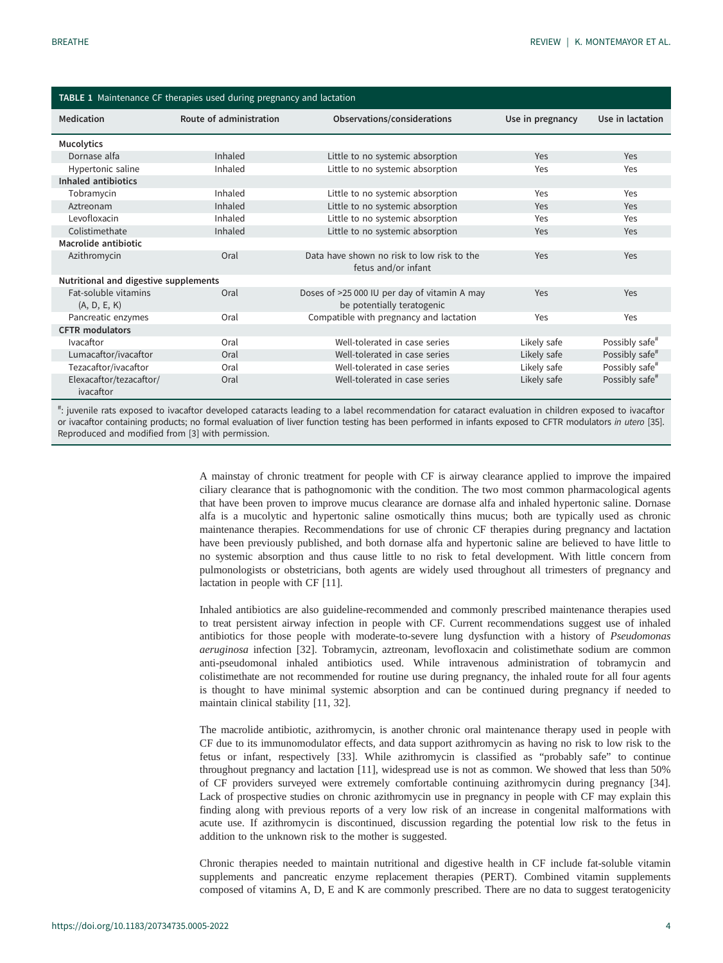<span id="page-3-0"></span>

| TABLE 1 Maintenance CF therapies used during pregnancy and lactation |                         |                                                                            |                  |                            |  |  |  |  |  |
|----------------------------------------------------------------------|-------------------------|----------------------------------------------------------------------------|------------------|----------------------------|--|--|--|--|--|
| Medication                                                           | Route of administration | Observations/considerations                                                | Use in pregnancy | Use in lactation           |  |  |  |  |  |
| <b>Mucolytics</b>                                                    |                         |                                                                            |                  |                            |  |  |  |  |  |
| Dornase alfa                                                         | Inhaled                 | Little to no systemic absorption                                           | Yes              | Yes                        |  |  |  |  |  |
| Hypertonic saline                                                    | Inhaled                 | Little to no systemic absorption                                           | Yes              | Yes                        |  |  |  |  |  |
| Inhaled antibiotics                                                  |                         |                                                                            |                  |                            |  |  |  |  |  |
| Tobramycin                                                           | Inhaled                 | Little to no systemic absorption                                           | Yes              | Yes                        |  |  |  |  |  |
| Aztreonam                                                            | Inhaled                 | Little to no systemic absorption                                           | Yes              | Yes                        |  |  |  |  |  |
| Levofloxacin                                                         | Inhaled                 | Little to no systemic absorption                                           | Yes              | Yes                        |  |  |  |  |  |
| Colistimethate                                                       | Inhaled                 | Little to no systemic absorption                                           | Yes              | Yes                        |  |  |  |  |  |
| Macrolide antibiotic                                                 |                         |                                                                            |                  |                            |  |  |  |  |  |
| Azithromycin                                                         | Oral                    | Data have shown no risk to low risk to the<br>fetus and/or infant          | Yes              | Yes                        |  |  |  |  |  |
| Nutritional and digestive supplements                                |                         |                                                                            |                  |                            |  |  |  |  |  |
| <b>Fat-soluble vitamins</b><br>(A, D, E, K)                          | Oral                    | Doses of >25 000 IU per day of vitamin A may<br>be potentially teratogenic | Yes              | Yes                        |  |  |  |  |  |
| Pancreatic enzymes                                                   | Oral                    | Compatible with pregnancy and lactation                                    | Yes              | Yes                        |  |  |  |  |  |
| <b>CFTR</b> modulators                                               |                         |                                                                            |                  |                            |  |  |  |  |  |
| Ivacaftor                                                            | Oral                    | Well-tolerated in case series                                              | Likely safe      | Possibly safe <sup>#</sup> |  |  |  |  |  |
| Lumacaftor/ivacaftor                                                 | Oral                    | Well-tolerated in case series                                              | Likely safe      | Possibly safe <sup>#</sup> |  |  |  |  |  |
| Tezacaftor/ivacaftor                                                 | Oral                    | Well-tolerated in case series                                              | Likely safe      | Possibly safe <sup>#</sup> |  |  |  |  |  |
| Elexacaftor/tezacaftor/<br>ivacaftor                                 | Oral                    | Well-tolerated in case series                                              | Likely safe      | Possibly safe <sup>#</sup> |  |  |  |  |  |

# : juvenile rats exposed to ivacaftor developed cataracts leading to a label recommendation for cataract evaluation in children exposed to ivacaftor or ivacaftor containing products; no formal evaluation of liver function testing has been performed in infants exposed to CFTR modulators in utero [\[35\]](#page-9-0). Reproduced and modified from [[3\]](#page-8-0) with permission.

> A mainstay of chronic treatment for people with CF is airway clearance applied to improve the impaired ciliary clearance that is pathognomonic with the condition. The two most common pharmacological agents that have been proven to improve mucus clearance are dornase alfa and inhaled hypertonic saline. Dornase alfa is a mucolytic and hypertonic saline osmotically thins mucus; both are typically used as chronic maintenance therapies. Recommendations for use of chronic CF therapies during pregnancy and lactation have been previously published, and both dornase alfa and hypertonic saline are believed to have little to no systemic absorption and thus cause little to no risk to fetal development. With little concern from pulmonologists or obstetricians, both agents are widely used throughout all trimesters of pregnancy and lactation in people with CF [\[11](#page-9-0)].

> Inhaled antibiotics are also guideline-recommended and commonly prescribed maintenance therapies used to treat persistent airway infection in people with CF. Current recommendations suggest use of inhaled antibiotics for those people with moderate-to-severe lung dysfunction with a history of Pseudomonas aeruginosa infection [\[32](#page-9-0)]. Tobramycin, aztreonam, levofloxacin and colistimethate sodium are common anti-pseudomonal inhaled antibiotics used. While intravenous administration of tobramycin and colistimethate are not recommended for routine use during pregnancy, the inhaled route for all four agents is thought to have minimal systemic absorption and can be continued during pregnancy if needed to maintain clinical stability [\[11](#page-9-0), [32\]](#page-9-0).

> The macrolide antibiotic, azithromycin, is another chronic oral maintenance therapy used in people with CF due to its immunomodulator effects, and data support azithromycin as having no risk to low risk to the fetus or infant, respectively [[33\]](#page-9-0). While azithromycin is classified as "probably safe" to continue throughout pregnancy and lactation [[11\]](#page-9-0), widespread use is not as common. We showed that less than 50% of CF providers surveyed were extremely comfortable continuing azithromycin during pregnancy [[34\]](#page-9-0). Lack of prospective studies on chronic azithromycin use in pregnancy in people with CF may explain this finding along with previous reports of a very low risk of an increase in congenital malformations with acute use. If azithromycin is discontinued, discussion regarding the potential low risk to the fetus in addition to the unknown risk to the mother is suggested.

> Chronic therapies needed to maintain nutritional and digestive health in CF include fat-soluble vitamin supplements and pancreatic enzyme replacement therapies (PERT). Combined vitamin supplements composed of vitamins A, D, E and K are commonly prescribed. There are no data to suggest teratogenicity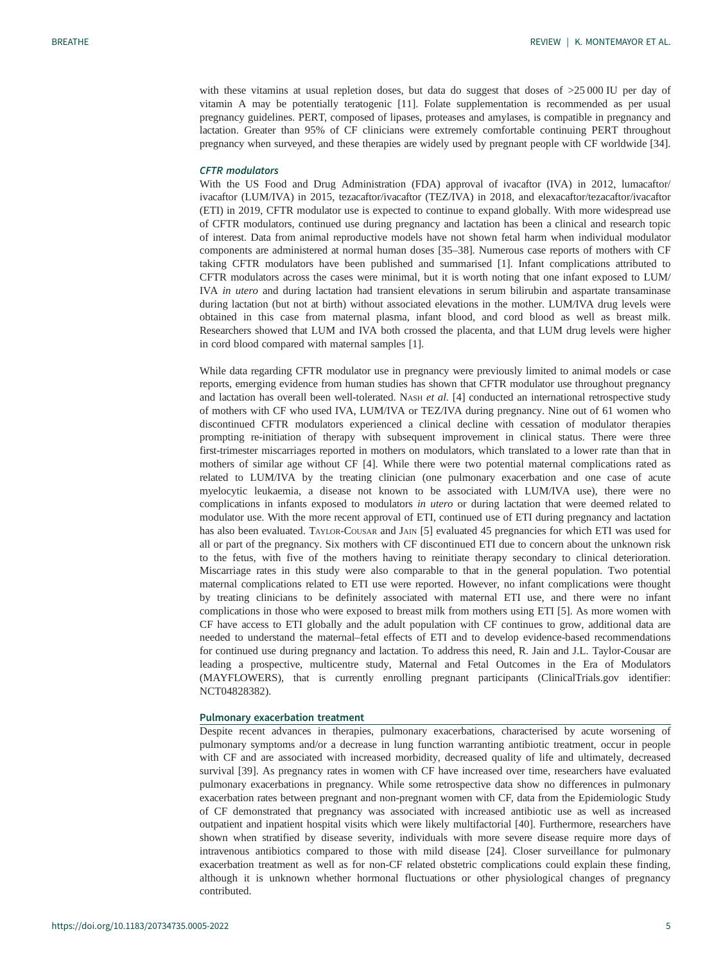with these vitamins at usual repletion doses, but data do suggest that doses of >25 000 IU per day of vitamin A may be potentially teratogenic [[11\]](#page-9-0). Folate supplementation is recommended as per usual pregnancy guidelines. PERT, composed of lipases, proteases and amylases, is compatible in pregnancy and lactation. Greater than 95% of CF clinicians were extremely comfortable continuing PERT throughout pregnancy when surveyed, and these therapies are widely used by pregnant people with CF worldwide [[34](#page-9-0)].

# CFTR modulators

With the US Food and Drug Administration (FDA) approval of ivacaftor (IVA) in 2012, lumacaftor/ ivacaftor (LUM/IVA) in 2015, tezacaftor/ivacaftor (TEZ/IVA) in 2018, and elexacaftor/tezacaftor/ivacaftor (ETI) in 2019, CFTR modulator use is expected to continue to expand globally. With more widespread use of CFTR modulators, continued use during pregnancy and lactation has been a clinical and research topic of interest. Data from animal reproductive models have not shown fetal harm when individual modulator components are administered at normal human doses [[35](#page-9-0)–[38](#page-10-0)]. Numerous case reports of mothers with CF taking CFTR modulators have been published and summarised [[1](#page-8-0)]. Infant complications attributed to CFTR modulators across the cases were minimal, but it is worth noting that one infant exposed to LUM/ IVA in utero and during lactation had transient elevations in serum bilirubin and aspartate transaminase during lactation (but not at birth) without associated elevations in the mother. LUM/IVA drug levels were obtained in this case from maternal plasma, infant blood, and cord blood as well as breast milk. Researchers showed that LUM and IVA both crossed the placenta, and that LUM drug levels were higher in cord blood compared with maternal samples [[1](#page-8-0)].

While data regarding CFTR modulator use in pregnancy were previously limited to animal models or case reports, emerging evidence from human studies has shown that CFTR modulator use throughout pregnancy and lactation has overall been well-tolerated. NASH et al. [[4](#page-8-0)] conducted an international retrospective study of mothers with CF who used IVA, LUM/IVA or TEZ/IVA during pregnancy. Nine out of 61 women who discontinued CFTR modulators experienced a clinical decline with cessation of modulator therapies prompting re-initiation of therapy with subsequent improvement in clinical status. There were three first-trimester miscarriages reported in mothers on modulators, which translated to a lower rate than that in mothers of similar age without CF [[4](#page-8-0)]. While there were two potential maternal complications rated as related to LUM/IVA by the treating clinician (one pulmonary exacerbation and one case of acute myelocytic leukaemia, a disease not known to be associated with LUM/IVA use), there were no complications in infants exposed to modulators in *utero* or during lactation that were deemed related to modulator use. With the more recent approval of ETI, continued use of ETI during pregnancy and lactation has also been evaluated. TAYLOR-COUSAR and JAIN [\[5\]](#page-8-0) evaluated 45 pregnancies for which ETI was used for all or part of the pregnancy. Six mothers with CF discontinued ETI due to concern about the unknown risk to the fetus, with five of the mothers having to reinitiate therapy secondary to clinical deterioration. Miscarriage rates in this study were also comparable to that in the general population. Two potential maternal complications related to ETI use were reported. However, no infant complications were thought by treating clinicians to be definitely associated with maternal ETI use, and there were no infant complications in those who were exposed to breast milk from mothers using ETI [\[5\]](#page-8-0). As more women with CF have access to ETI globally and the adult population with CF continues to grow, additional data are needed to understand the maternal–fetal effects of ETI and to develop evidence-based recommendations for continued use during pregnancy and lactation. To address this need, R. Jain and J.L. Taylor-Cousar are leading a prospective, multicentre study, Maternal and Fetal Outcomes in the Era of Modulators (MAYFLOWERS), that is currently enrolling pregnant participants [\(ClinicalTrials.gov](https://clinicaltrials.gov/) identifier: NCT04828382).

#### Pulmonary exacerbation treatment

Despite recent advances in therapies, pulmonary exacerbations, characterised by acute worsening of pulmonary symptoms and/or a decrease in lung function warranting antibiotic treatment, occur in people with CF and are associated with increased morbidity, decreased quality of life and ultimately, decreased survival [\[39](#page-10-0)]. As pregnancy rates in women with CF have increased over time, researchers have evaluated pulmonary exacerbations in pregnancy. While some retrospective data show no differences in pulmonary exacerbation rates between pregnant and non-pregnant women with CF, data from the Epidemiologic Study of CF demonstrated that pregnancy was associated with increased antibiotic use as well as increased outpatient and inpatient hospital visits which were likely multifactorial [\[40](#page-10-0)]. Furthermore, researchers have shown when stratified by disease severity, individuals with more severe disease require more days of intravenous antibiotics compared to those with mild disease [[24\]](#page-9-0). Closer surveillance for pulmonary exacerbation treatment as well as for non-CF related obstetric complications could explain these finding, although it is unknown whether hormonal fluctuations or other physiological changes of pregnancy contributed.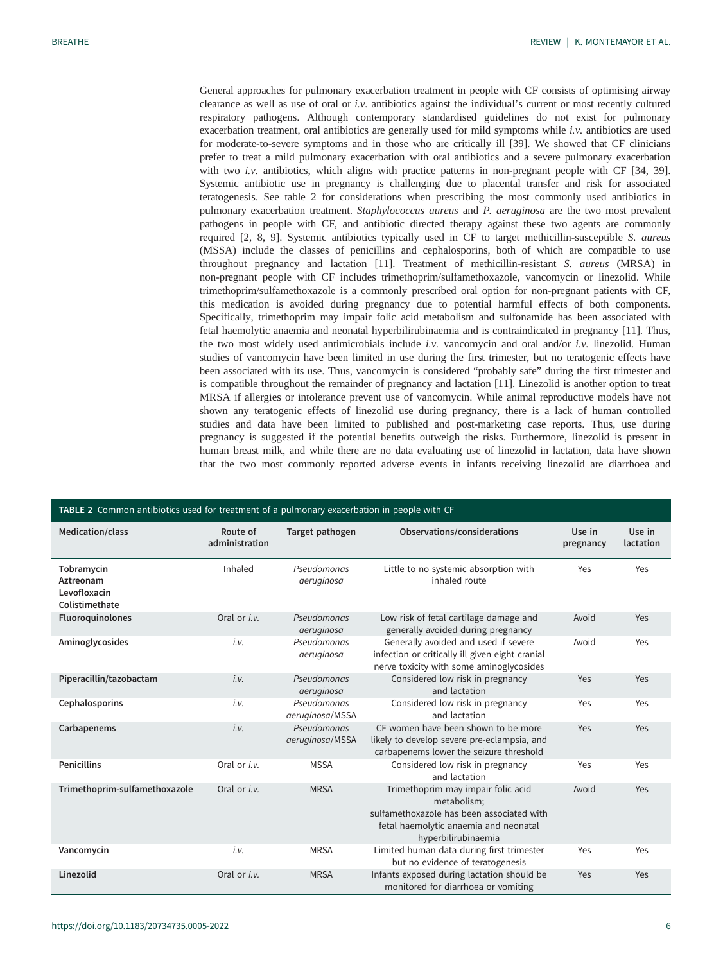General approaches for pulmonary exacerbation treatment in people with CF consists of optimising airway clearance as well as use of oral or i.v. antibiotics against the individual's current or most recently cultured respiratory pathogens. Although contemporary standardised guidelines do not exist for pulmonary exacerbation treatment, oral antibiotics are generally used for mild symptoms while i.v. antibiotics are used for moderate-to-severe symptoms and in those who are critically ill [[39\]](#page-10-0). We showed that CF clinicians prefer to treat a mild pulmonary exacerbation with oral antibiotics and a severe pulmonary exacerbation with two *i.v.* antibiotics, which aligns with practice patterns in non-pregnant people with CF [\[34](#page-9-0), [39\]](#page-10-0). Systemic antibiotic use in pregnancy is challenging due to placental transfer and risk for associated teratogenesis. See table 2 for considerations when prescribing the most commonly used antibiotics in pulmonary exacerbation treatment. Staphylococcus aureus and P. aeruginosa are the two most prevalent pathogens in people with CF, and antibiotic directed therapy against these two agents are commonly required [[2](#page-8-0), [8](#page-9-0), [9](#page-9-0)]. Systemic antibiotics typically used in CF to target methicillin-susceptible S. aureus (MSSA) include the classes of penicillins and cephalosporins, both of which are compatible to use throughout pregnancy and lactation [[11\]](#page-9-0). Treatment of methicillin-resistant S. aureus (MRSA) in non-pregnant people with CF includes trimethoprim/sulfamethoxazole, vancomycin or linezolid. While trimethoprim/sulfamethoxazole is a commonly prescribed oral option for non-pregnant patients with CF, this medication is avoided during pregnancy due to potential harmful effects of both components. Specifically, trimethoprim may impair folic acid metabolism and sulfonamide has been associated with fetal haemolytic anaemia and neonatal hyperbilirubinaemia and is contraindicated in pregnancy [[11\]](#page-9-0). Thus, the two most widely used antimicrobials include i.v. vancomycin and oral and/or i.v. linezolid. Human studies of vancomycin have been limited in use during the first trimester, but no teratogenic effects have been associated with its use. Thus, vancomycin is considered "probably safe" during the first trimester and is compatible throughout the remainder of pregnancy and lactation [\[11](#page-9-0)]. Linezolid is another option to treat MRSA if allergies or intolerance prevent use of vancomycin. While animal reproductive models have not shown any teratogenic effects of linezolid use during pregnancy, there is a lack of human controlled studies and data have been limited to published and post-marketing case reports. Thus, use during pregnancy is suggested if the potential benefits outweigh the risks. Furthermore, linezolid is present in human breast milk, and while there are no data evaluating use of linezolid in lactation, data have shown that the two most commonly reported adverse events in infants receiving linezolid are diarrhoea and

| TABLE 2 Common antibiotics used for treatment of a pulmonary exacerbation in people with CF |                            |                                |                                                                                                                                                                |                     |                     |  |  |  |  |
|---------------------------------------------------------------------------------------------|----------------------------|--------------------------------|----------------------------------------------------------------------------------------------------------------------------------------------------------------|---------------------|---------------------|--|--|--|--|
| Medication/class                                                                            | Route of<br>administration | Target pathogen                | Observations/considerations                                                                                                                                    | Use in<br>pregnancy | Use in<br>lactation |  |  |  |  |
| Tobramycin<br>Aztreonam<br>Levofloxacin<br>Colistimethate                                   | Inhaled                    | Pseudomonas<br>aeruginosa      | Little to no systemic absorption with<br>inhaled route                                                                                                         | Yes                 | Yes                 |  |  |  |  |
| Fluoroquinolones                                                                            | Oral or <i>i.v.</i>        | Pseudomonas<br>aeruginosa      | Low risk of fetal cartilage damage and<br>generally avoided during pregnancy                                                                                   | Avoid               | Yes                 |  |  |  |  |
| Aminoglycosides                                                                             | i.v.                       | Pseudomonas<br>aeruginosa      | Generally avoided and used if severe<br>infection or critically ill given eight cranial<br>nerve toxicity with some aminoglycosides                            | Avoid               | Yes                 |  |  |  |  |
| Piperacillin/tazobactam                                                                     | i.v.                       | Pseudomonas<br>aeruginosa      | Considered low risk in pregnancy<br>and lactation                                                                                                              | Yes                 | Yes                 |  |  |  |  |
| Cephalosporins                                                                              | i.v.                       | Pseudomonas<br>aeruginosa/MSSA | Considered low risk in pregnancy<br>and lactation                                                                                                              | Yes                 | Yes                 |  |  |  |  |
| Carbapenems                                                                                 | i.v.                       | Pseudomonas<br>aeruginosa/MSSA | CF women have been shown to be more<br>likely to develop severe pre-eclampsia, and<br>carbapenems lower the seizure threshold                                  | Yes                 | Yes                 |  |  |  |  |
| <b>Penicillins</b>                                                                          | Oral or i.v.               | <b>MSSA</b>                    | Considered low risk in pregnancy<br>and lactation                                                                                                              | Yes                 | Yes                 |  |  |  |  |
| Trimethoprim-sulfamethoxazole                                                               | Oral or <i>i.v.</i>        | <b>MRSA</b>                    | Trimethoprim may impair folic acid<br>metabolism;<br>sulfamethoxazole has been associated with<br>fetal haemolytic anaemia and neonatal<br>hyperbilirubinaemia | Avoid               | Yes                 |  |  |  |  |
| Vancomycin                                                                                  | i.v.                       | <b>MRSA</b>                    | Limited human data during first trimester<br>but no evidence of teratogenesis                                                                                  | Yes                 | Yes                 |  |  |  |  |
| Linezolid                                                                                   | Oral or <i>i.v.</i>        | <b>MRSA</b>                    | Infants exposed during lactation should be<br>monitored for diarrhoea or vomiting                                                                              | Yes                 | Yes                 |  |  |  |  |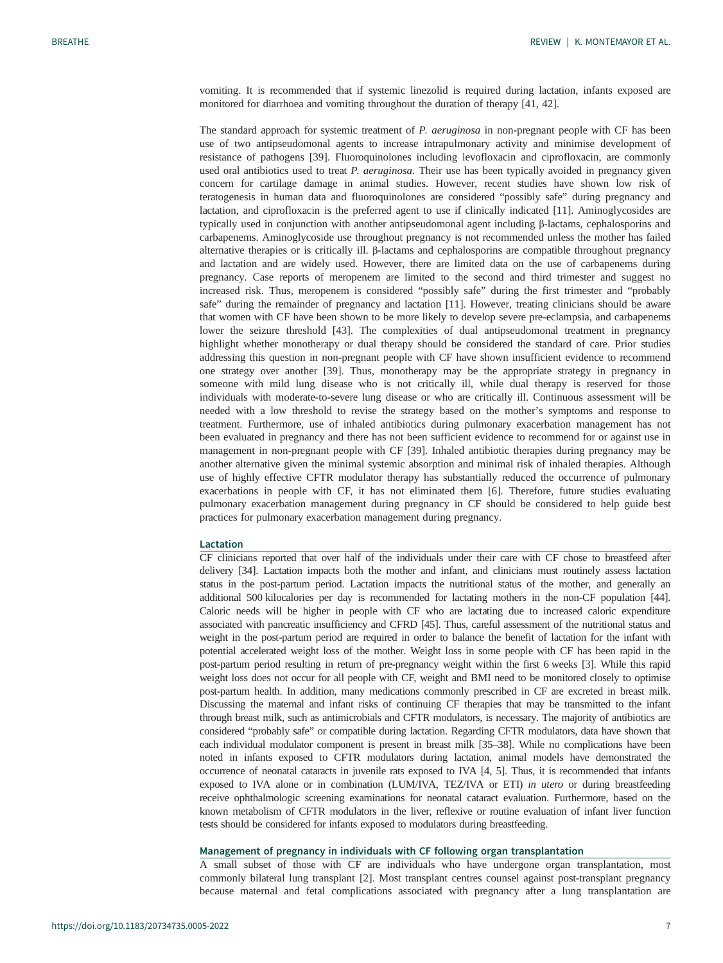vomiting. It is recommended that if systemic linezolid is required during lactation, infants exposed are monitored for diarrhoea and vomiting throughout the duration of therapy [[41, 42\]](#page-10-0).

The standard approach for systemic treatment of P. aeruginosa in non-pregnant people with CF has been use of two antipseudomonal agents to increase intrapulmonary activity and minimise development of resistance of pathogens [[39\]](#page-10-0). Fluoroquinolones including levofloxacin and ciprofloxacin, are commonly used oral antibiotics used to treat P. aeruginosa. Their use has been typically avoided in pregnancy given concern for cartilage damage in animal studies. However, recent studies have shown low risk of teratogenesis in human data and fluoroquinolones are considered "possibly safe" during pregnancy and lactation, and ciprofloxacin is the preferred agent to use if clinically indicated [[11\]](#page-9-0). Aminoglycosides are typically used in conjunction with another antipseudomonal agent including β-lactams, cephalosporins and carbapenems. Aminoglycoside use throughout pregnancy is not recommended unless the mother has failed alternative therapies or is critically ill. β-lactams and cephalosporins are compatible throughout pregnancy and lactation and are widely used. However, there are limited data on the use of carbapenems during pregnancy. Case reports of meropenem are limited to the second and third trimester and suggest no increased risk. Thus, meropenem is considered "possibly safe" during the first trimester and "probably safe" during the remainder of pregnancy and lactation [[11\]](#page-9-0). However, treating clinicians should be aware that women with CF have been shown to be more likely to develop severe pre-eclampsia, and carbapenems lower the seizure threshold [[43\]](#page-10-0). The complexities of dual antipseudomonal treatment in pregnancy highlight whether monotherapy or dual therapy should be considered the standard of care. Prior studies addressing this question in non-pregnant people with CF have shown insufficient evidence to recommend one strategy over another [\[39](#page-10-0)]. Thus, monotherapy may be the appropriate strategy in pregnancy in someone with mild lung disease who is not critically ill, while dual therapy is reserved for those individuals with moderate-to-severe lung disease or who are critically ill. Continuous assessment will be needed with a low threshold to revise the strategy based on the mother's symptoms and response to treatment. Furthermore, use of inhaled antibiotics during pulmonary exacerbation management has not been evaluated in pregnancy and there has not been sufficient evidence to recommend for or against use in management in non-pregnant people with CF [\[39](#page-10-0)]. Inhaled antibiotic therapies during pregnancy may be another alternative given the minimal systemic absorption and minimal risk of inhaled therapies. Although use of highly effective CFTR modulator therapy has substantially reduced the occurrence of pulmonary exacerbations in people with CF, it has not eliminated them [\[6\]](#page-8-0). Therefore, future studies evaluating pulmonary exacerbation management during pregnancy in CF should be considered to help guide best practices for pulmonary exacerbation management during pregnancy.

# Lactation

CF clinicians reported that over half of the individuals under their care with CF chose to breastfeed after delivery [\[34](#page-9-0)]. Lactation impacts both the mother and infant, and clinicians must routinely assess lactation status in the post-partum period. Lactation impacts the nutritional status of the mother, and generally an additional 500 kilocalories per day is recommended for lactating mothers in the non-CF population [\[44\]](#page-10-0). Caloric needs will be higher in people with CF who are lactating due to increased caloric expenditure associated with pancreatic insufficiency and CFRD [[45](#page-10-0)]. Thus, careful assessment of the nutritional status and weight in the post-partum period are required in order to balance the benefit of lactation for the infant with potential accelerated weight loss of the mother. Weight loss in some people with CF has been rapid in the post-partum period resulting in return of pre-pregnancy weight within the first 6 weeks [\[3\]](#page-8-0). While this rapid weight loss does not occur for all people with CF, weight and BMI need to be monitored closely to optimise post-partum health. In addition, many medications commonly prescribed in CF are excreted in breast milk. Discussing the maternal and infant risks of continuing CF therapies that may be transmitted to the infant through breast milk, such as antimicrobials and CFTR modulators, is necessary. The majority of antibiotics are considered "probably safe" or compatible during lactation. Regarding CFTR modulators, data have shown that each individual modulator component is present in breast milk [\[35](#page-9-0)–[38](#page-10-0)]. While no complications have been noted in infants exposed to CFTR modulators during lactation, animal models have demonstrated the occurrence of neonatal cataracts in juvenile rats exposed to IVA [\[4](#page-8-0), [5](#page-8-0)]. Thus, it is recommended that infants exposed to IVA alone or in combination (LUM/IVA, TEZ/IVA or ETI) in utero or during breastfeeding receive ophthalmologic screening examinations for neonatal cataract evaluation. Furthermore, based on the known metabolism of CFTR modulators in the liver, reflexive or routine evaluation of infant liver function tests should be considered for infants exposed to modulators during breastfeeding.

# Management of pregnancy in individuals with CF following organ transplantation

A small subset of those with CF are individuals who have undergone organ transplantation, most commonly bilateral lung transplant [\[2\]](#page-8-0). Most transplant centres counsel against post-transplant pregnancy because maternal and fetal complications associated with pregnancy after a lung transplantation are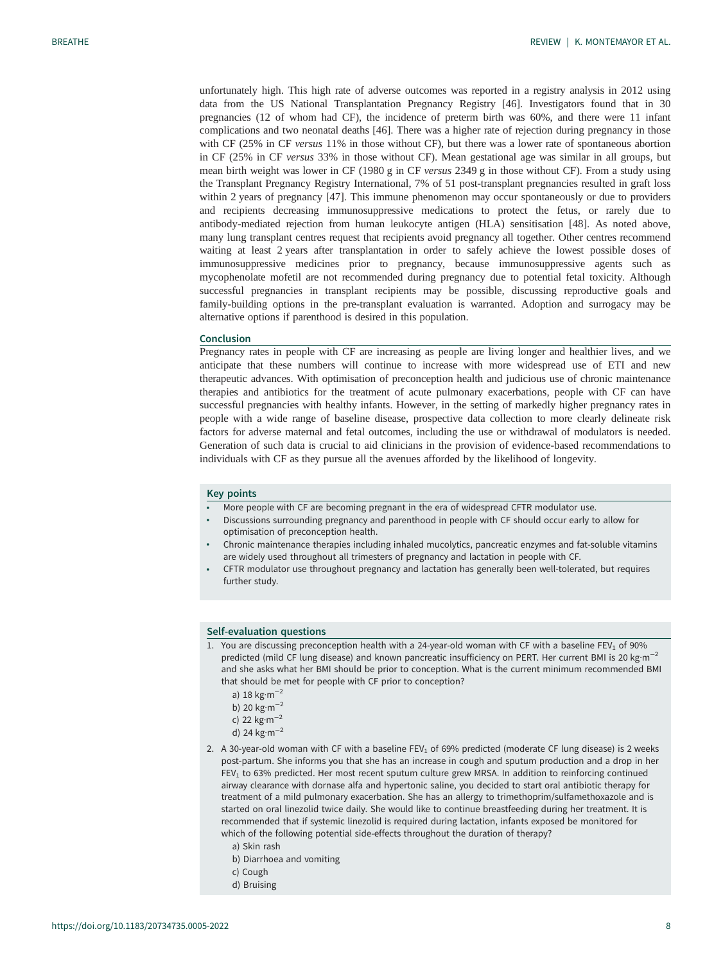unfortunately high. This high rate of adverse outcomes was reported in a registry analysis in 2012 using data from the US National Transplantation Pregnancy Registry [[46\]](#page-10-0). Investigators found that in 30 pregnancies (12 of whom had CF), the incidence of preterm birth was 60%, and there were 11 infant complications and two neonatal deaths [\[46](#page-10-0)]. There was a higher rate of rejection during pregnancy in those with CF (25% in CF versus 11% in those without CF), but there was a lower rate of spontaneous abortion in CF (25% in CF versus 33% in those without CF). Mean gestational age was similar in all groups, but mean birth weight was lower in CF (1980 g in CF versus 2349 g in those without CF). From a study using the Transplant Pregnancy Registry International, 7% of 51 post-transplant pregnancies resulted in graft loss within 2 years of pregnancy [[47\]](#page-10-0). This immune phenomenon may occur spontaneously or due to providers and recipients decreasing immunosuppressive medications to protect the fetus, or rarely due to antibody-mediated rejection from human leukocyte antigen (HLA) sensitisation [[48\]](#page-10-0). As noted above, many lung transplant centres request that recipients avoid pregnancy all together. Other centres recommend waiting at least 2 years after transplantation in order to safely achieve the lowest possible doses of immunosuppressive medicines prior to pregnancy, because immunosuppressive agents such as mycophenolate mofetil are not recommended during pregnancy due to potential fetal toxicity. Although successful pregnancies in transplant recipients may be possible, discussing reproductive goals and family-building options in the pre-transplant evaluation is warranted. Adoption and surrogacy may be alternative options if parenthood is desired in this population.

#### Conclusion

Pregnancy rates in people with CF are increasing as people are living longer and healthier lives, and we anticipate that these numbers will continue to increase with more widespread use of ETI and new therapeutic advances. With optimisation of preconception health and judicious use of chronic maintenance therapies and antibiotics for the treatment of acute pulmonary exacerbations, people with CF can have successful pregnancies with healthy infants. However, in the setting of markedly higher pregnancy rates in people with a wide range of baseline disease, prospective data collection to more clearly delineate risk factors for adverse maternal and fetal outcomes, including the use or withdrawal of modulators is needed. Generation of such data is crucial to aid clinicians in the provision of evidence-based recommendations to individuals with CF as they pursue all the avenues afforded by the likelihood of longevity.

#### Key points

- More people with CF are becoming pregnant in the era of widespread CFTR modulator use.
- Discussions surrounding pregnancy and parenthood in people with CF should occur early to allow for optimisation of preconception health.
- Chronic maintenance therapies including inhaled mucolytics, pancreatic enzymes and fat-soluble vitamins are widely used throughout all trimesters of pregnancy and lactation in people with CF.
- CFTR modulator use throughout pregnancy and lactation has generally been well-tolerated, but requires further study.

#### Self-evaluation questions

- 1. You are discussing preconception health with a 24-year-old woman with CF with a baseline FEV<sub>1</sub> of 90% predicted (mild CF lung disease) and known pancreatic insufficiency on PERT. Her current BMI is 20 kg·m<sup>-2</sup> and she asks what her BMI should be prior to conception. What is the current minimum recommended BMI that should be met for people with CF prior to conception?
	- a) 18 kg·m−<sup>2</sup>
	- b) 20 kg·m−<sup>2</sup>
	- c) 22 kg·m−<sup>2</sup>
	- d) 24 kg·m−<sup>2</sup>
- 2. A 30-year-old woman with CF with a baseline  $FEV<sub>1</sub>$  of 69% predicted (moderate CF lung disease) is 2 weeks post-partum. She informs you that she has an increase in cough and sputum production and a drop in her  $FEV<sub>1</sub>$  to 63% predicted. Her most recent sputum culture grew MRSA. In addition to reinforcing continued airway clearance with dornase alfa and hypertonic saline, you decided to start oral antibiotic therapy for treatment of a mild pulmonary exacerbation. She has an allergy to trimethoprim/sulfamethoxazole and is started on oral linezolid twice daily. She would like to continue breastfeeding during her treatment. It is recommended that if systemic linezolid is required during lactation, infants exposed be monitored for which of the following potential side-effects throughout the duration of therapy?
	- a) Skin rash
	- b) Diarrhoea and vomiting
	- c) Cough
	- d) Bruising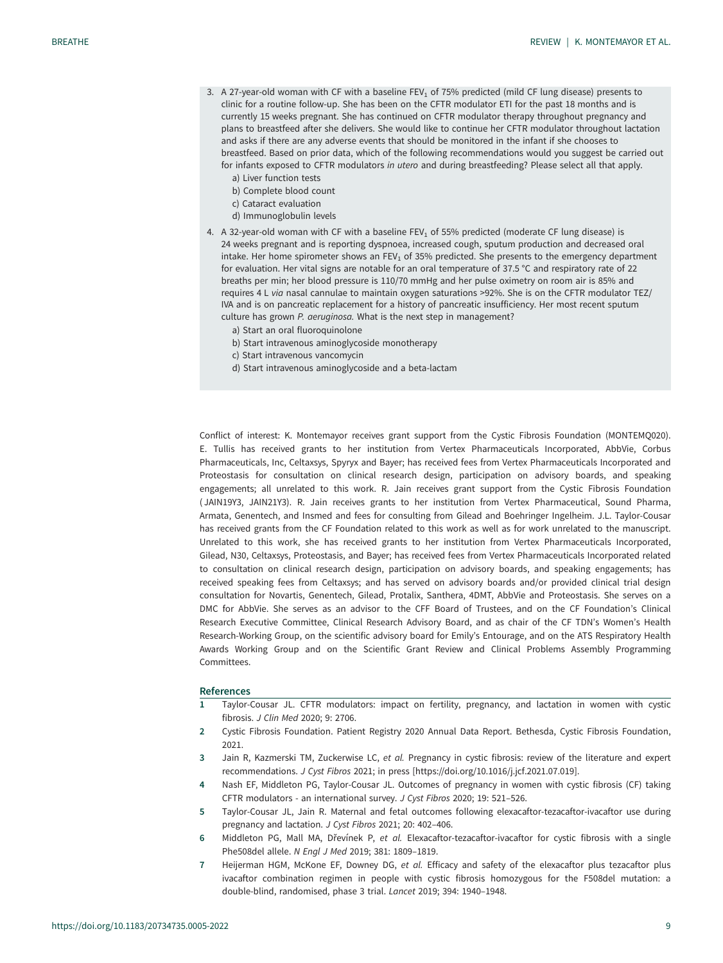- <span id="page-8-0"></span>3. A 27-year-old woman with CF with a baseline FEV<sub>1</sub> of 75% predicted (mild CF lung disease) presents to clinic for a routine follow-up. She has been on the CFTR modulator ETI for the past 18 months and is currently 15 weeks pregnant. She has continued on CFTR modulator therapy throughout pregnancy and plans to breastfeed after she delivers. She would like to continue her CFTR modulator throughout lactation and asks if there are any adverse events that should be monitored in the infant if she chooses to breastfeed. Based on prior data, which of the following recommendations would you suggest be carried out for infants exposed to CFTR modulators in utero and during breastfeeding? Please select all that apply.
	- a) Liver function tests
	- b) Complete blood count
	- c) Cataract evaluation
	- d) Immunoglobulin levels
- 4. A 32-year-old woman with CF with a baseline FEV<sub>1</sub> of 55% predicted (moderate CF lung disease) is 24 weeks pregnant and is reporting dyspnoea, increased cough, sputum production and decreased oral intake. Her home spirometer shows an FEV<sub>1</sub> of 35% predicted. She presents to the emergency department for evaluation. Her vital signs are notable for an oral temperature of 37.5 °C and respiratory rate of 22 breaths per min; her blood pressure is 110/70 mmHg and her pulse oximetry on room air is 85% and requires 4 L via nasal cannulae to maintain oxygen saturations >92%. She is on the CFTR modulator TEZ/ IVA and is on pancreatic replacement for a history of pancreatic insufficiency. Her most recent sputum culture has grown P. aeruginosa. What is the next step in management?
	- a) Start an oral fluoroquinolone
	- b) Start intravenous aminoglycoside monotherapy
	- c) Start intravenous vancomycin
	- d) Start intravenous aminoglycoside and a beta-lactam

Conflict of interest: K. Montemayor receives grant support from the Cystic Fibrosis Foundation (MONTEMQ020). E. Tullis has received grants to her institution from Vertex Pharmaceuticals Incorporated, AbbVie, Corbus Pharmaceuticals, Inc, Celtaxsys, Spyryx and Bayer; has received fees from Vertex Pharmaceuticals Incorporated and Proteostasis for consultation on clinical research design, participation on advisory boards, and speaking engagements; all unrelated to this work. R. Jain receives grant support from the Cystic Fibrosis Foundation ( JAIN19Y3, JAIN21Y3). R. Jain receives grants to her institution from Vertex Pharmaceutical, Sound Pharma, Armata, Genentech, and Insmed and fees for consulting from Gilead and Boehringer Ingelheim. J.L. Taylor-Cousar has received grants from the CF Foundation related to this work as well as for work unrelated to the manuscript. Unrelated to this work, she has received grants to her institution from Vertex Pharmaceuticals Incorporated, Gilead, N30, Celtaxsys, Proteostasis, and Bayer; has received fees from Vertex Pharmaceuticals Incorporated related to consultation on clinical research design, participation on advisory boards, and speaking engagements; has received speaking fees from Celtaxsys; and has served on advisory boards and/or provided clinical trial design consultation for Novartis, Genentech, Gilead, Protalix, Santhera, 4DMT, AbbVie and Proteostasis. She serves on a DMC for AbbVie. She serves as an advisor to the CFF Board of Trustees, and on the CF Foundation's Clinical Research Executive Committee, Clinical Research Advisory Board, and as chair of the CF TDN's Women's Health Research-Working Group, on the scientific advisory board for Emily's Entourage, and on the ATS Respiratory Health Awards Working Group and on the Scientific Grant Review and Clinical Problems Assembly Programming Committees.

#### References

- 1 Taylor-Cousar JL. CFTR modulators: impact on fertility, pregnancy, and lactation in women with cystic fibrosis. J Clin Med 2020; 9: 2706.
- 2 Cystic Fibrosis Foundation. Patient Registry 2020 Annual Data Report. Bethesda, Cystic Fibrosis Foundation, 2021.
- 3 Jain R, Kazmerski TM, Zuckerwise LC, et al. Pregnancy in cystic fibrosis: review of the literature and expert recommendations. J Cyst Fibros 2021; in press [\[https://doi.org/10.1016/j.jcf.2021.07.019](https://doi.org/10.1016/j.jcf.2021.07.019)].
- 4 Nash EF, Middleton PG, Taylor-Cousar JL. Outcomes of pregnancy in women with cystic fibrosis (CF) taking CFTR modulators - an international survey. J Cyst Fibros 2020; 19: 521–526.
- 5 Taylor-Cousar JL, Jain R. Maternal and fetal outcomes following elexacaftor-tezacaftor-ivacaftor use during pregnancy and lactation. J Cyst Fibros 2021; 20: 402–406.
- 6 Middleton PG, Mall MA, Dřevínek P, et al. Elexacaftor-tezacaftor-ivacaftor for cystic fibrosis with a single Phe508del allele. N Engl J Med 2019; 381: 1809–1819.
- 7 Heijerman HGM, McKone EF, Downey DG, et al. Efficacy and safety of the elexacaftor plus tezacaftor plus ivacaftor combination regimen in people with cystic fibrosis homozygous for the F508del mutation: a double-blind, randomised, phase 3 trial. Lancet 2019; 394: 1940–1948.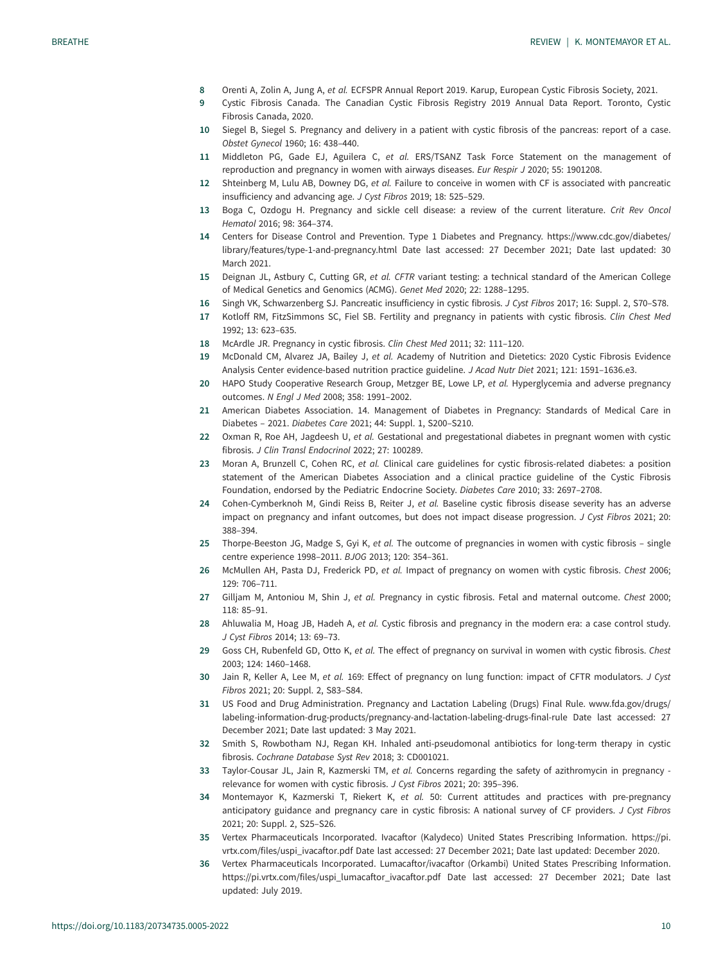- <span id="page-9-0"></span>8 Orenti A, Zolin A, Jung A, et al. ECFSPR Annual Report 2019. Karup, European Cystic Fibrosis Society, 2021.
- 9 Cystic Fibrosis Canada. The Canadian Cystic Fibrosis Registry 2019 Annual Data Report. Toronto, Cystic Fibrosis Canada, 2020.
- 10 Siegel B, Siegel S. Pregnancy and delivery in a patient with cystic fibrosis of the pancreas: report of a case. Obstet Gynecol 1960; 16: 438–440.
- 11 Middleton PG, Gade EJ, Aguilera C, et al. ERS/TSANZ Task Force Statement on the management of reproduction and pregnancy in women with airways diseases. Eur Respir J 2020; 55: 1901208.
- 12 Shteinberg M, Lulu AB, Downey DG, et al. Failure to conceive in women with CF is associated with pancreatic insufficiency and advancing age. J Cyst Fibros 2019; 18: 525–529.
- 13 Boga C, Ozdogu H. Pregnancy and sickle cell disease: a review of the current literature. Crit Rev Oncol Hematol 2016; 98: 364–374.
- 14 Centers for Disease Control and Prevention. Type 1 Diabetes and Pregnancy. [https://www.cdc.gov/diabetes/](https://www.cdc.gov/diabetes/library/features/type-1-and-pregnancy.html) [library/features/type-1-and-pregnancy.html](https://www.cdc.gov/diabetes/library/features/type-1-and-pregnancy.html) Date last accessed: 27 December 2021; Date last updated: 30 March 2021.
- 15 Deignan JL, Astbury C, Cutting GR, et al. CFTR variant testing: a technical standard of the American College of Medical Genetics and Genomics (ACMG). Genet Med 2020; 22: 1288–1295.
- 16 Singh VK, Schwarzenberg SJ. Pancreatic insufficiency in cystic fibrosis. J Cyst Fibros 2017; 16: Suppl. 2, S70–S78.
- 17 Kotloff RM, FitzSimmons SC, Fiel SB. Fertility and pregnancy in patients with cystic fibrosis. Clin Chest Med 1992; 13: 623–635.
- 18 McArdle JR. Pregnancy in cystic fibrosis. Clin Chest Med 2011; 32: 111–120.
- 19 McDonald CM, Alvarez JA, Bailey J, et al. Academy of Nutrition and Dietetics: 2020 Cystic Fibrosis Evidence Analysis Center evidence-based nutrition practice guideline. J Acad Nutr Diet 2021; 121: 1591–1636.e3.
- 20 HAPO Study Cooperative Research Group, Metzger BE, Lowe LP, et al. Hyperglycemia and adverse pregnancy outcomes. N Engl J Med 2008; 358: 1991–2002.
- 21 American Diabetes Association. 14. Management of Diabetes in Pregnancy: Standards of Medical Care in Diabetes – 2021. Diabetes Care 2021; 44: Suppl. 1, S200–S210.
- 22 Oxman R, Roe AH, Jagdeesh U, et al. Gestational and pregestational diabetes in pregnant women with cystic fibrosis. J Clin Transl Endocrinol 2022; 27: 100289.
- 23 Moran A, Brunzell C, Cohen RC, et al. Clinical care guidelines for cystic fibrosis-related diabetes: a position statement of the American Diabetes Association and a clinical practice guideline of the Cystic Fibrosis Foundation, endorsed by the Pediatric Endocrine Society. Diabetes Care 2010; 33: 2697–2708.
- 24 Cohen-Cymberknoh M, Gindi Reiss B, Reiter J, et al. Baseline cystic fibrosis disease severity has an adverse impact on pregnancy and infant outcomes, but does not impact disease progression. J Cyst Fibros 2021; 20: 388–394.
- 25 Thorpe-Beeston JG, Madge S, Gyi K, et al. The outcome of pregnancies in women with cystic fibrosis single centre experience 1998–2011. BJOG 2013; 120: 354–361.
- 26 McMullen AH, Pasta DJ, Frederick PD, et al. Impact of pregnancy on women with cystic fibrosis. Chest 2006; 129: 706–711.
- 27 Gilliam M, Antoniou M, Shin J, et al. Pregnancy in cystic fibrosis. Fetal and maternal outcome. Chest 2000; 118: 85–91.
- 28 Ahluwalia M, Hoag JB, Hadeh A, et al. Cystic fibrosis and pregnancy in the modern era: a case control study. J Cyst Fibros 2014; 13: 69–73.
- 29 Goss CH, Rubenfeld GD, Otto K, et al. The effect of pregnancy on survival in women with cystic fibrosis. Chest 2003; 124: 1460–1468.
- 30 Jain R, Keller A, Lee M, et al. 169: Effect of pregnancy on lung function: impact of CFTR modulators. J Cyst Fibros 2021; 20: Suppl. 2, S83–S84.
- 31 US Food and Drug Administration. Pregnancy and Lactation Labeling (Drugs) Final Rule. [www.fda.gov/drugs/](http://www.fda.gov/drugs/labeling-information-drug-products/pregnancy-and-lactation-labeling-drugs-final-rule) [labeling-information-drug-products/pregnancy-and-lactation-labeling-drugs-final-rule](http://www.fda.gov/drugs/labeling-information-drug-products/pregnancy-and-lactation-labeling-drugs-final-rule) Date last accessed: 27 December 2021; Date last updated: 3 May 2021.
- 32 Smith S, Rowbotham NJ, Regan KH. Inhaled anti-pseudomonal antibiotics for long-term therapy in cystic fibrosis. Cochrane Database Syst Rev 2018; 3: CD001021.
- 33 Taylor-Cousar JL, Jain R, Kazmerski TM, et al. Concerns regarding the safety of azithromycin in pregnancy relevance for women with cystic fibrosis. J Cyst Fibros 2021; 20: 395–396.
- 34 Montemayor K, Kazmerski T, Riekert K, et al. 50: Current attitudes and practices with pre-pregnancy anticipatory guidance and pregnancy care in cystic fibrosis: A national survey of CF providers. J Cyst Fibros 2021; 20: Suppl. 2, S25–S26.
- 35 Vertex Pharmaceuticals Incorporated. Ivacaftor (Kalydeco) United States Prescribing Information. [https://pi.](https://pi.vrtx.com/files/uspi_ivacaftor.pdf) [vrtx.com/files/uspi\\_ivacaftor.pdf](https://pi.vrtx.com/files/uspi_ivacaftor.pdf) Date last accessed: 27 December 2021; Date last updated: December 2020.
- 36 Vertex Pharmaceuticals Incorporated. Lumacaftor/ivacaftor (Orkambi) United States Prescribing Information. [https://pi.vrtx.com/files/uspi\\_lumacaftor\\_ivacaftor.pdf](https://pi.vrtx.com/files/uspi_lumacaftor_ivacaftor.pdf) Date last accessed: 27 December 2021; Date last updated: July 2019.